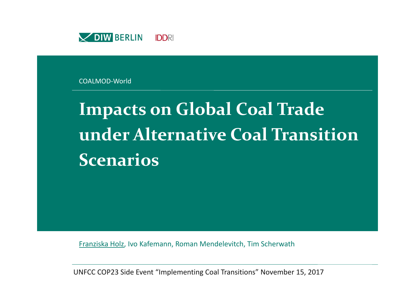

COALMOD‐World

# **Impacts on Global Coal Trade under Alternative Coal TransitionScenarios**

Franziska Holz, Ivo Kafemann, Roman Mendelevitch, Tim Scherwath

UNFCC COP23 Side Event "Implementing Coal Transitions" November 15, 2017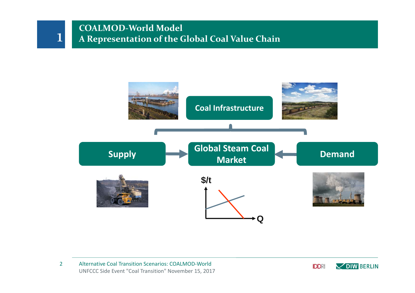### **COALMOD‐World Model A Representation of the Global Coal Value Chain**



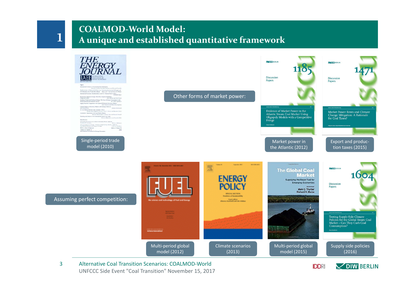### **COALMOD‐World Model: A unique and established quantitative framework**



UNFCCC Side Event "Coal Transition" November 15, 2017 Alternative Coal Transition Scenarios: COALMOD‐World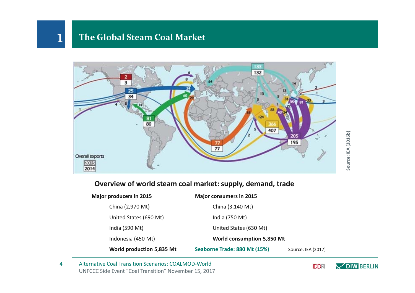### **The Global Steam Coal Market**

1



### **Overview of world steam coal market: supply, demand, trade**

| <b>Major producers in 2015</b> | <b>Major consumers in 2015</b> |                    |
|--------------------------------|--------------------------------|--------------------|
| China (2,970 Mt)               | China (3,140 Mt)               |                    |
| United States (690 Mt)         | India (750 Mt)                 |                    |
| India (590 Mt)                 | United States (630 Mt)         |                    |
| Indonesia (450 Mt)             | World consumption 5,850 Mt     |                    |
| World production 5,835 Mt      | Seaborne Trade: 880 Mt (15%)   | Source: IEA (2017) |

UNFCCC Side Event "Coal Transition" November 15, 2017 4Alternative Coal Transition Scenarios: COALMOD‐World

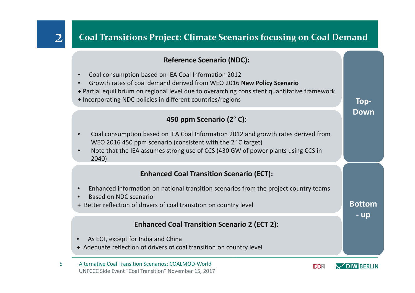## **Coal Transitions Project: Climate Scenarios focusing on Coal Demand**

### **Reference Scenario (NDC):**

- •Coal consumption based on IEA Coal Information 2012
- •Growth rates of coal demand derived from WEO 2016 **New Policy Scenario**
- **+** Partial equilibrium on regional level due to overarching consistent quantitative framework
- **+** Incorporating NDC policies in different countries/regions

### **450 ppm Scenario (2° C):**

- • Coal consumption based on IEA Coal Information 2012 and growth rates derived from WEO 2016 450 ppm scenario (consistent with the 2° C target)
- • Note that the IEA assumes strong use of CCS (430 GW of power plants using CCS in 2040)

### **Enhanced Coal Transition Scenario (ECT):**

- •Enhanced information on national transition scenarios from the project country teams
- •• Based on NDC scenario
- **+** Better reflection of drivers of coal transition on country level

### **Enhanced Coal Transition Scenario 2 (ECT 2):**

- •• As ECT, except for India and China
- **+** Adequate reflection of drivers of coal transition on country level
- UNFCCC Side Event "Coal Transition" November 15, 2017 5Alternative Coal Transition Scenarios: COALMOD‐World



**Bottom**

**Top‐**

**Down**

**‐ up**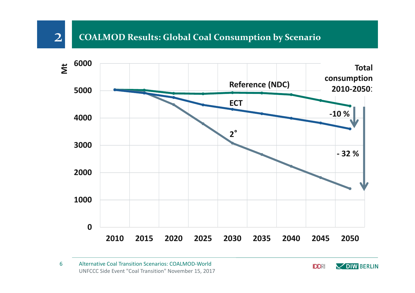### **COALMOD Results: Global Coal Consumption by Scenario**



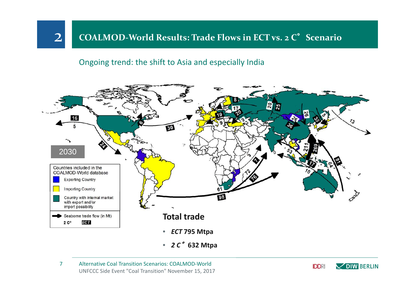### **COALMOD‐World Results: Trade Flows in ECT vs. <sup>2</sup> C**°**Scenario**

### Ongoing trend: the shift to Asia and especially India



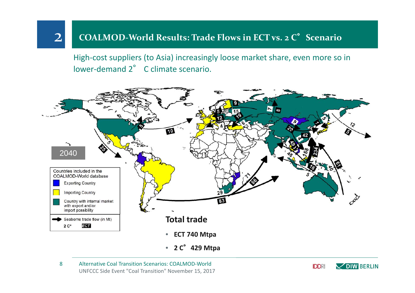### **COALMOD‐World Results: Trade Flows in ECT vs. <sup>2</sup> C**°**Scenario**

High-cost suppliers (to Asia) increasingly loose market share, even more so in lower-demand 2<sup>°</sup> C climate scenario.



#### UNFCCC Side Event "Coal Transition" November 15, 2017 8Alternative Coal Transition Scenarios: COALMOD‐World

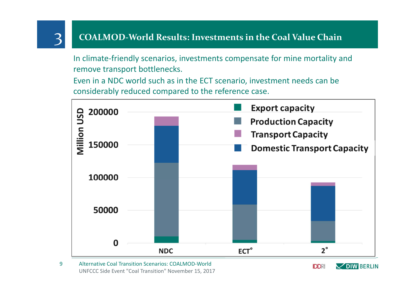### 3 **COALMOD‐World Results: Investments in the Coal Value Chain**

In climate‐friendly scenarios, investments compensate for mine mortality and remove transport bottlenecks.

Even in a NDC world such as in the ECT scenario, investment needs can be considerably reduced compared to the reference case.



#### UNFCCC Side Event "Coal Transition" November 15, 2017 9Alternative Coal Transition Scenarios: COALMOD‐World

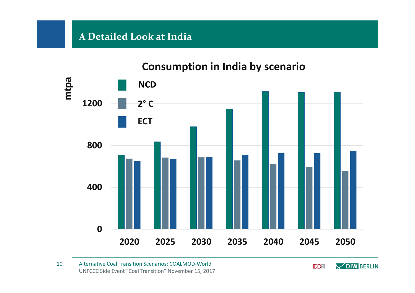## **A Detailed Look at India**

# **0400 800 1200 2020 2025 2030 2035 2040 2045 2050**2050 **NCD mtpa 2° C ECT**

## **Consumption in India by scenario**

UNFCCC Side Event "Coal Transition" November 15, 2017 10Alternative Coal Transition Scenarios: COALMOD‐World

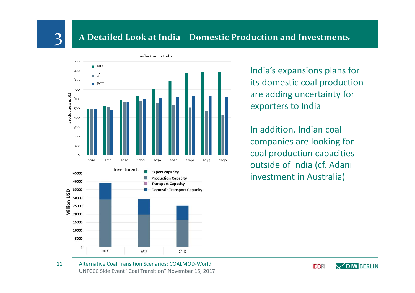## 3 **<sup>A</sup> Detailed Look at India – Domestic Production and Investments**



India's expansions plans for its domestic coal production are adding uncertainty for exporters to India

In addition, Indian coal companies are looking for coal production capacities outside of India (cf. Adani investment in Australia)

UNFCCC Side Event "Coal Transition" November 15, 2017 11Alternative Coal Transition Scenarios: COALMOD‐World

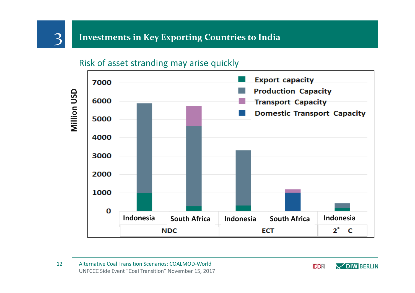## 3 **Investments in Key Exporting Countries to India**

Risk of asset stranding may arise quickly



**IDDRI DIW BERLIN**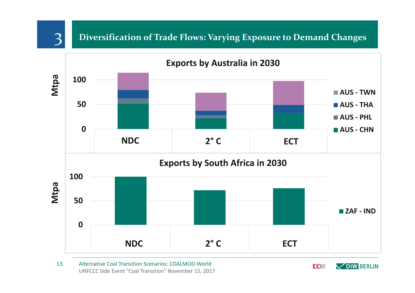## 3 **Diversification of Trade Flows: Varying Exposure to Demand Changes**



UNFCCC Side Event "Coal Transition" November 15, 2017 13Alternative Coal Transition Scenarios: COALMOD‐World

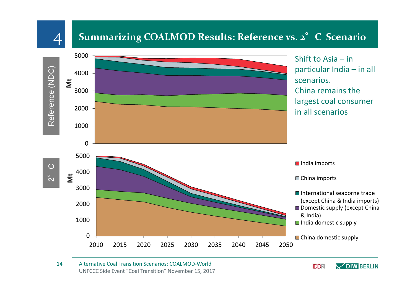## **Summarizing COALMOD Results: Reference vs. <sup>2</sup>**°**<sup>C</sup> Scenario**



#### UNFCCC Side Event "Coal Transition" November 15, 2017 14Alternative Coal Transition Scenarios: COALMOD‐World

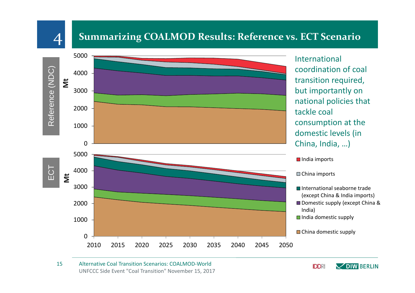### **Summarizing COALMOD Results: Reference vs. ECT Scenario**



#### UNFCCC Side Event "Coal Transition" November 15, 2017 15Alternative Coal Transition Scenarios: COALMOD‐World

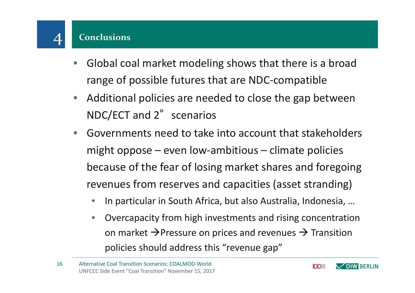- $\bullet$  Global coal market modeling shows that there is <sup>a</sup> broad range of possible futures that are NDC‐compatible
- $\bullet$  Additional policies are needed to close the gap between NDC/ECT and 2° scenarios
- $\bullet$  Governments need to take into account that stakeholders might oppose – even low-ambitious – climate policies because of the fear of losing market shares and foregoing revenues from reserves and capacities (asset stranding)
	- $\bullet$ ● In particular in South Africa, but also Australia, Indonesia, ...
	- • Overcapacity from high investments and rising concentration on market  $\rightarrow$ Pressure on prices and revenues  $\rightarrow$  Transition policies should address this "revenue gap"

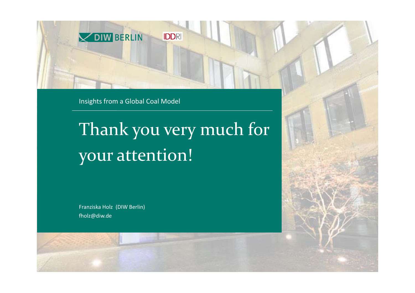

Insights from <sup>a</sup> Global Coal Model

# Thank you very much for your attention!

Franziska Holz (DIW Berlin) fholz@diw.de